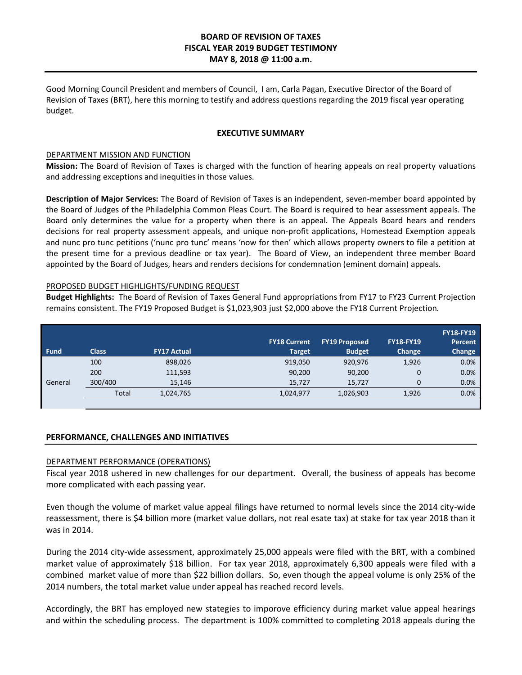# **BOARD OF REVISION OF TAXES FISCAL YEAR 2019 BUDGET TESTIMONY MAY 8, 2018 @ 11:00 a.m.**

Good Morning Council President and members of Council, I am, Carla Pagan, Executive Director of the Board of Revision of Taxes (BRT), here this morning to testify and address questions regarding the 2019 fiscal year operating budget.

## **EXECUTIVE SUMMARY**

## DEPARTMENT MISSION AND FUNCTION

**Mission:** The Board of Revision of Taxes is charged with the function of hearing appeals on real property valuations and addressing exceptions and inequities in those values.

**Description of Major Services:** The Board of Revision of Taxes is an independent, seven-member board appointed by the Board of Judges of the Philadelphia Common Pleas Court. The Board is required to hear assessment appeals. The Board only determines the value for a property when there is an appeal. The Appeals Board hears and renders decisions for real property assessment appeals, and unique non-profit applications, Homestead Exemption appeals and nunc pro tunc petitions ('nunc pro tunc' means 'now for then' which allows property owners to file a petition at the present time for a previous deadline or tax year). The Board of View, an independent three member Board appointed by the Board of Judges, hears and renders decisions for condemnation (eminent domain) appeals.

# PROPOSED BUDGET HIGHLIGHTS/FUNDING REQUEST

**Budget Highlights:** The Board of Revision of Taxes General Fund appropriations from FY17 to FY23 Current Projection remains consistent. The FY19 Proposed Budget is \$1,023,903 just \$2,000 above the FY18 Current Projection.

| <b>Fund</b> | <b>Class</b> | <b>FY17 Actual</b> | <b>FY18 Current</b><br><b>Target</b> | <b>FY19 Proposed</b><br><b>Budget</b> | <b>FY18-FY19</b><br>Change | <b>FY18-FY19</b><br><b>Percent</b><br>Change |
|-------------|--------------|--------------------|--------------------------------------|---------------------------------------|----------------------------|----------------------------------------------|
| General     | 100          | 898,026            | 919,050                              | 920,976                               | 1,926                      | 0.0%                                         |
|             | 200          | 111,593            | 90,200                               | 90,200                                | $\mathbf 0$                | 0.0%                                         |
|             | 300/400      | 15,146             | 15.727                               | 15.727                                | 0                          | 0.0%                                         |
|             | Total        | 1,024,765          | 1,024,977                            | 1,026,903                             | 1,926                      | 0.0%                                         |
|             |              |                    |                                      |                                       |                            |                                              |

### **PERFORMANCE, CHALLENGES AND INITIATIVES**

### DEPARTMENT PERFORMANCE (OPERATIONS)

Fiscal year 2018 ushered in new challenges for our department. Overall, the business of appeals has become more complicated with each passing year.

Even though the volume of market value appeal filings have returned to normal levels since the 2014 city-wide reassessment, there is \$4 billion more (market value dollars, not real esate tax) at stake for tax year 2018 than it was in 2014.

During the 2014 city-wide assessment, approximately 25,000 appeals were filed with the BRT, with a combined market value of approximately \$18 billion. For tax year 2018, approximately 6,300 appeals were filed with a combined market value of more than \$22 billion dollars. So, even though the appeal volume is only 25% of the 2014 numbers, the total market value under appeal has reached record levels.

Accordingly, the BRT has employed new stategies to imporove efficiency during market value appeal hearings and within the scheduling process. The department is 100% committed to completing 2018 appeals during the